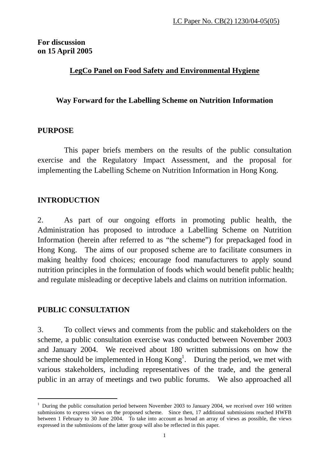## **For discussion on 15 April 2005**

## **LegCo Panel on Food Safety and Environmental Hygiene**

## **Way Forward for the Labelling Scheme on Nutrition Information**

## **PURPOSE**

This paper briefs members on the results of the public consultation exercise and the Regulatory Impact Assessment, and the proposal for implementing the Labelling Scheme on Nutrition Information in Hong Kong.

# **INTRODUCTION**

2. As part of our ongoing efforts in promoting public health, the Administration has proposed to introduce a Labelling Scheme on Nutrition Information (herein after referred to as "the scheme") for prepackaged food in Hong Kong. The aims of our proposed scheme are to facilitate consumers in making healthy food choices; encourage food manufacturers to apply sound nutrition principles in the formulation of foods which would benefit public health; and regulate misleading or deceptive labels and claims on nutrition information.

## **PUBLIC CONSULTATION**

 $\overline{a}$ 

3. To collect views and comments from the public and stakeholders on the scheme, a public consultation exercise was conducted between November 2003 and January 2004. We received about 180 written submissions on how the scheme should be implemented in Hong  $Kong<sup>1</sup>$  $Kong<sup>1</sup>$  $Kong<sup>1</sup>$ . During the period, we met with various stakeholders, including representatives of the trade, and the general public in an array of meetings and two public forums. We also approached all

<span id="page-0-0"></span><sup>&</sup>lt;sup>1</sup> During the public consultation period between November 2003 to January 2004, we received over 160 written submissions to express views on the proposed scheme. Since then, 17 additional submissions reached HWFB between 1 February to 30 June 2004. To take into account as broad an array of views as possible, the views expressed in the submissions of the latter group will also be reflected in this paper.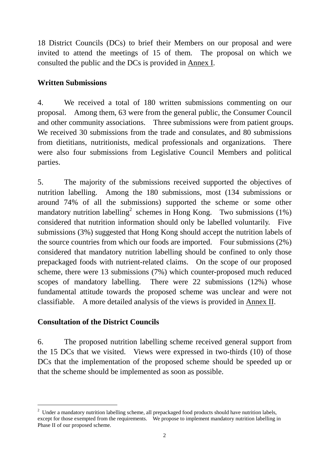18 District Councils (DCs) to brief their Members on our proposal and were invited to attend the meetings of 15 of them. The proposal on which we consulted the public and the DCs is provided in Annex I.

## **Written Submissions**

4. We received a total of 180 written submissions commenting on our proposal. Among them, 63 were from the general public, the Consumer Council and other community associations. Three submissions were from patient groups. We received 30 submissions from the trade and consulates, and 80 submissions from dietitians, nutritionists, medical professionals and organizations. There were also four submissions from Legislative Council Members and political parties.

5. The majority of the submissions received supported the objectives of nutrition labelling. Among the 180 submissions, most (134 submissions or around 74% of all the submissions) supported the scheme or some other mandatory nutrition labelling<sup>[2](#page-1-0)</sup> schemes in Hong Kong. Two submissions (1%) considered that nutrition information should only be labelled voluntarily. Five submissions (3%) suggested that Hong Kong should accept the nutrition labels of the source countries from which our foods are imported. Four submissions (2%) considered that mandatory nutrition labelling should be confined to only those prepackaged foods with nutrient-related claims. On the scope of our proposed scheme, there were 13 submissions (7%) which counter-proposed much reduced scopes of mandatory labelling. There were 22 submissions (12%) whose fundamental attitude towards the proposed scheme was unclear and were not classifiable. A more detailed analysis of the views is provided in Annex II.

## **Consultation of the District Councils**

 $\overline{a}$ 

6. The proposed nutrition labelling scheme received general support from the 15 DCs that we visited. Views were expressed in two-thirds (10) of those DCs that the implementation of the proposed scheme should be speeded up or that the scheme should be implemented as soon as possible.

<span id="page-1-0"></span><sup>&</sup>lt;sup>2</sup> Under a mandatory nutrition labelling scheme, all prepackaged food products should have nutrition labels, except for those exempted from the requirements. We propose to implement mandatory nutrition labelling in Phase II of our proposed scheme.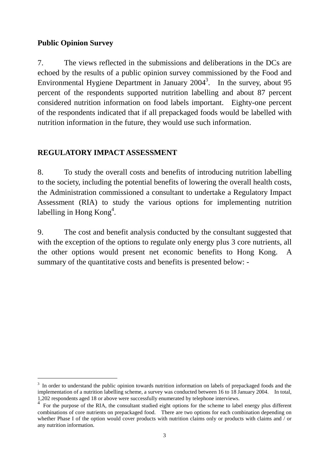### **Public Opinion Survey**

 $\overline{a}$ 

7. The views reflected in the submissions and deliberations in the DCs are echoed by the results of a public opinion survey commissioned by the Food and Environmental Hygiene Department in January  $2004<sup>3</sup>$  $2004<sup>3</sup>$  $2004<sup>3</sup>$ . In the survey, about 95 percent of the respondents supported nutrition labelling and about 87 percent considered nutrition information on food labels important. Eighty-one percent of the respondents indicated that if all prepackaged foods would be labelled with nutrition information in the future, they would use such information.

## **REGULATORY IMPACT ASSESSMENT**

8. To study the overall costs and benefits of introducing nutrition labelling to the society, including the potential benefits of lowering the overall health costs, the Administration commissioned a consultant to undertake a Regulatory Impact Assessment (RIA) to study the various options for implementing nutrition labelling in Hong Kong<sup>[4](#page-2-1)</sup>.

9. The cost and benefit analysis conducted by the consultant suggested that with the exception of the options to regulate only energy plus 3 core nutrients, all the other options would present net economic benefits to Hong Kong. A summary of the quantitative costs and benefits is presented below: -

<span id="page-2-0"></span><sup>&</sup>lt;sup>3</sup> In order to understand the public opinion towards nutrition information on labels of prepackaged foods and the implementation of a nutrition labelling scheme, a survey was conducted between 16 to 18 January 2004. In total, 1,202 respondents aged 18 or above were successfully enumerated by telephone interviews.

<span id="page-2-1"></span> $\frac{4}{1}$  For the purpose of the RIA, the consultant studied eight options for the scheme to label energy plus different combinations of core nutrients on prepackaged food. There are two options for each combination depending on whether Phase I of the option would cover products with nutrition claims only or products with claims and / or any nutrition information.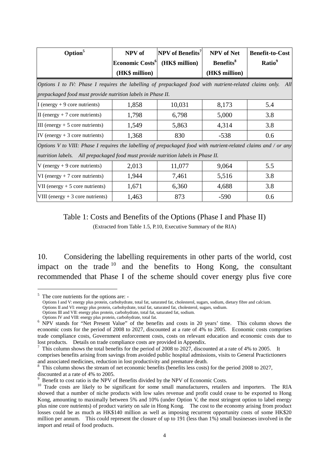| Option <sup>5</sup>                                                                                             | NPV of                      | $NPV$ of Benefits <sup>7</sup> | <b>NPV</b> of Net            | <b>Benefit-to-Cost</b> |
|-----------------------------------------------------------------------------------------------------------------|-----------------------------|--------------------------------|------------------------------|------------------------|
|                                                                                                                 | Economic Costs <sup>6</sup> | (HK\$ million)                 | <b>Benefits</b> <sup>8</sup> | Ratio <sup>9</sup>     |
|                                                                                                                 | (HK\$ million)              |                                | (HK\$ million)               |                        |
| Options I to IV: Phase I requires the labelling of prepackaged food with nutrient-related claims only.          |                             |                                |                              | All                    |
| prepackaged food must provide nutrition labels in Phase II.                                                     |                             |                                |                              |                        |
| I (energy $+9$ core nutrients)                                                                                  | 1,858                       | 10,031                         | 8,173                        | 5.4                    |
| II (energy $+7$ core nutrients)                                                                                 | 1,798                       | 6,798                          | 5,000                        | 3.8                    |
| III (energy $+5$ core nutrients)                                                                                | 1,549                       | 5,863                          | 4,314                        | 3.8                    |
| IV (energy $+3$ core nutrients)                                                                                 | 1,368                       | 830<br>$-538$                  |                              | 0.6                    |
| Options V to VIII: Phase I requires the labelling of prepackaged food with nutrient-related claims and / or any |                             |                                |                              |                        |
| nutrition labels. All prepackaged food must provide nutrition labels in Phase II.                               |                             |                                |                              |                        |
| V (energy $+9$ core nutrients)                                                                                  | 2,013                       | 11,077                         | 9,064                        | 5.5                    |
| VI (energy $+7$ core nutrients)                                                                                 | 1,944                       | 7,461                          | 5,516                        | 3.8                    |
| VII (energy $+5$ core nutrients)                                                                                | 1,671                       | 6,360                          | 4,688                        | 3.8                    |
| VIII (energy $+3$ core nutrients)                                                                               | 1,463                       | 873                            | $-590$                       | 0.6                    |

Table 1: Costs and Benefits of the Options (Phase I and Phase II) (Extracted from Table 1.5, P.10, Executive Summary of the RIA)

10. Considering the labelling requirements in other parts of the world, cost impact on the trade [10](#page-3-5) and the benefits to Hong Kong, the consultant recommended that Phase I of the scheme should cover energy plus five core

 $\overline{a}$ 

<span id="page-3-0"></span><sup>5</sup> The core nutrients for the options are: -

Options I and V: energy plus protein, carbohydrate, total fat, saturated fat, cholesterol, sugars, sodium, dietary fibre and calcium.

Options II and VI: energy plus protein, carbohydrate, total fat, saturated fat, cholesterol, sugars, sodium.

Options III and VII: energy plus protein, carbohydrate, total fat, saturated fat, sodium.

<span id="page-3-1"></span>Options IV and VIII: energy plus protein, carbohydrate, total fat. <sup>6</sup> NPV stands for "Net Present Value" of the benefits and costs in 20 years' time. This column shows the economic costs for the period of 2008 to 2027, discounted at a rate of 4% to 2005. Economic costs comprises trade compliance costs, Government enforcement costs, costs on relevant education and economic costs due to lost products. Details on trade compliance costs are provided in Appendix.<br><sup>7</sup> This column shows the total benefits for the period of 2008 to 2027, discounted at a rate of 4% to 2005. It

<span id="page-3-2"></span>comprises benefits arising from savings from avoided public hospital admissions, visits to General Practictioners

<span id="page-3-3"></span>and associated medicines, reduction in lost productivity and premature death.<br><sup>8</sup> This column shows the stream of net economic benefits (benefits less costs) for the period 2008 to 2027,

<span id="page-3-5"></span><span id="page-3-4"></span>

discounted at a rate of 4% to 2005.<br><sup>9</sup> Benefit to cost ratio is the NPV of Benefits divided by the NPV of Economic Costs.<br><sup>10</sup> Trade costs are likely to be significant for some small manufacturers, retailers and importers showed that a number of niche products with low sales revenue and profit could cease to be exported to Hong Kong, amounting to maximally between 5% and 10% (under Option V, the most stringent option to label energy plus nine core nutrients) of product variety on sale in Hong Kong. The cost to the economy arising from product losses could be as much as HK\$140 million as well as imposing recurrent opportunity costs of some HK\$20 million per annum. This could represent the closure of up to 191 (less than 1%) small businesses involved in the import and retail of food products.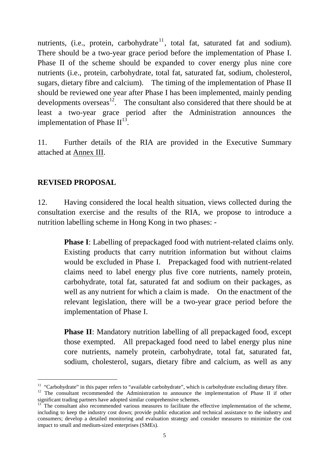nutrients, (i.e., protein, carbohydrate<sup>[11](#page-4-0)</sup>, total fat, saturated fat and sodium). There should be a two-year grace period before the implementation of Phase I. Phase II of the scheme should be expanded to cover energy plus nine core nutrients (i.e., protein, carbohydrate, total fat, saturated fat, sodium, cholesterol, sugars, dietary fibre and calcium). The timing of the implementation of Phase II should be reviewed one year after Phase I has been implemented, mainly pending developments overseas $^{12}$ . The consultant also considered that there should be at least a two-year grace period after the Administration announces the implementation of Phase  $II^{13}$ .

11. Further details of the RIA are provided in the Executive Summary attached at Annex III.

## **REVISED PROPOSAL**

 $\overline{a}$ 

12. Having considered the local health situation, views collected during the consultation exercise and the results of the RIA, we propose to introduce a nutrition labelling scheme in Hong Kong in two phases: -

> **Phase I**: Labelling of prepackaged food with nutrient-related claims only. Existing products that carry nutrition information but without claims would be excluded in Phase I. Prepackaged food with nutrient-related claims need to label energy plus five core nutrients, namely protein, carbohydrate, total fat, saturated fat and sodium on their packages, as well as any nutrient for which a claim is made. On the enactment of the relevant legislation, there will be a two-year grace period before the implementation of Phase I.

> **Phase II**: Mandatory nutrition labelling of all prepackaged food, except those exempted. All prepackaged food need to label energy plus nine core nutrients, namely protein, carbohydrate, total fat, saturated fat, sodium, cholesterol, sugars, dietary fibre and calcium, as well as any

<span id="page-4-1"></span><span id="page-4-0"></span>

<sup>&</sup>lt;sup>11</sup> "Carbohydrate" in this paper refers to "available carbohydrate", which is carbohydrate excluding dietary fibre.<br><sup>12</sup> The consultant recommended the Administration to announce the implementation of Phase II if other significant trading partners have adopted similar comprehensive schemes.<br><sup>13</sup> The consultant also recommended various measures to facilitate the effective implementation of the scheme,

<span id="page-4-2"></span>including to keep the industry cost down; provide public education and technical assistance to the industry and consumers; develop a detailed monitoring and evaluation strategy and consider measures to minimize the cost impact to small and medium-sized enterprises (SMEs).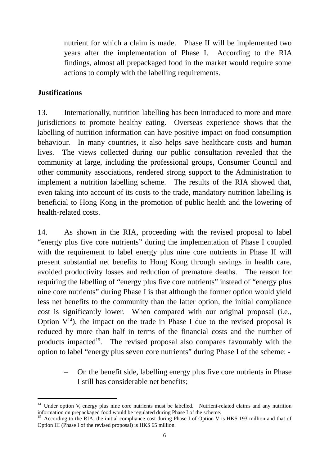nutrient for which a claim is made. Phase II will be implemented two years after the implementation of Phase I. According to the RIA findings, almost all prepackaged food in the market would require some actions to comply with the labelling requirements.

### **Justifications**

 $\overline{a}$ 

13. Internationally, nutrition labelling has been introduced to more and more jurisdictions to promote healthy eating. Overseas experience shows that the labelling of nutrition information can have positive impact on food consumption behaviour. In many countries, it also helps save healthcare costs and human lives. The views collected during our public consultation revealed that the community at large, including the professional groups, Consumer Council and other community associations, rendered strong support to the Administration to implement a nutrition labelling scheme. The results of the RIA showed that, even taking into account of its costs to the trade, mandatory nutrition labelling is beneficial to Hong Kong in the promotion of public health and the lowering of health-related costs.

14. As shown in the RIA, proceeding with the revised proposal to label "energy plus five core nutrients" during the implementation of Phase I coupled with the requirement to label energy plus nine core nutrients in Phase II will present substantial net benefits to Hong Kong through savings in health care, avoided productivity losses and reduction of premature deaths. The reason for requiring the labelling of "energy plus five core nutrients" instead of "energy plus nine core nutrients" during Phase I is that although the former option would yield less net benefits to the community than the latter option, the initial compliance cost is significantly lower. When compared with our original proposal (i.e., Option  $V^{14}$ ), the impact on the trade in Phase I due to the revised proposal is reduced by more than half in terms of the financial costs and the number of products impacted<sup>15</sup>. The revised proposal also compares favourably with the option to label "energy plus seven core nutrients" during Phase I of the scheme: -

> On the benefit side, labelling energy plus five core nutrients in Phase I still has considerable net benefits;

<span id="page-5-0"></span><sup>&</sup>lt;sup>14</sup> Under option V, energy plus nine core nutrients must be labelled. Nutrient-related claims and any nutrition information on prepackaged food would be regulated during Phase I of the scheme.

<span id="page-5-1"></span><sup>&</sup>lt;sup>15</sup> According to the RIA, the initial compliance cost during Phase I of Option V is HK\$ 193 million and that of Option III (Phase I of the revised proposal) is HK\$ 65 million.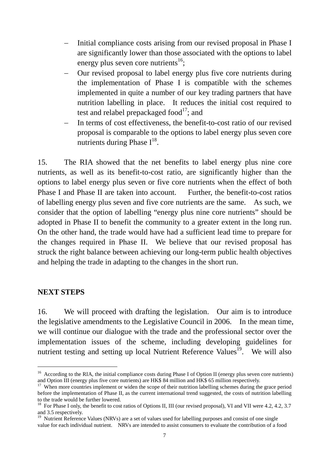- <span id="page-6-3"></span>− Initial compliance costs arising from our revised proposal in Phase I are significantly lower than those associated with the options to label energy plus seven core nutrients<sup>16</sup>;
- − Our revised proposal to label energy plus five core nutrients during the implementation of Phase I is compatible with the schemes implemented in quite a number of our key trading partners that have nutrition labelling in place. It reduces the initial cost required to test and relabel prepackaged food $17$ ; and
- In terms of cost effectiveness, the benefit-to-cost ratio of our revised proposal is comparable to the options to label energy plus seven core nutrients during Phase  $I^{18}$ .

15. The RIA showed that the net benefits to label energy plus nine core nutrients, as well as its benefit-to-cost ratio, are significantly higher than the options to label energy plus seven or five core nutrients when the effect of both Phase I and Phase II are taken into account. Further, the benefit-to-cost ratios of labelling energy plus seven and five core nutrients are the same. As such, we consider that the option of labelling "energy plus nine core nutrients" should be adopted in Phase II to benefit the community to a greater extent in the long run. On the other hand, the trade would have had a sufficient lead time to prepare for the changes required in Phase II. We believe that our revised proposal has struck the right balance between achieving our long-term public health objectives and helping the trade in adapting to the changes in the short run.

### **NEXT STEPS**

 $\overline{a}$ 

16. We will proceed with drafting the legislation. Our aim is to introduce the legislative amendments to the Legislative Council in 2006. In the mean time, we will continue our dialogue with the trade and the professional sector over the implementation issues of the scheme, including developing guidelines for nutrient testing and setting up local Nutrient Reference Values<sup>19</sup>. We will also

<span id="page-6-0"></span><sup>&</sup>lt;sup>16</sup> According to the RIA, the initial compliance costs during Phase I of Option II (energy plus seven core nutrients) and Option III (energy plus five core nutrients) are HK\$ 84 million and HK\$ 65 million respectively.

<span id="page-6-1"></span> $\frac{17}{17}$  When more countries implement or widen the scope of their nutrition labelling schemes during the grace period before the implementation of Phase II, as the current international trend suggested, the costs of nutrition labelling

<span id="page-6-2"></span>to the trade would be further lowered.<br><sup>18</sup> For Phase I only, the benefit to cost ratios of Options II, III (our revised proposal), VI and VII were 4.2, 4.2, 3.7<br>and 3.5 respectively.

<sup>&</sup>lt;sup>19</sup> Nutrient Reference Values (NRVs) are a set of values used for labelling purposes and consist of one single value for each individual nutrient. NRVs are intended to assist consumers to evaluate the contribution of a food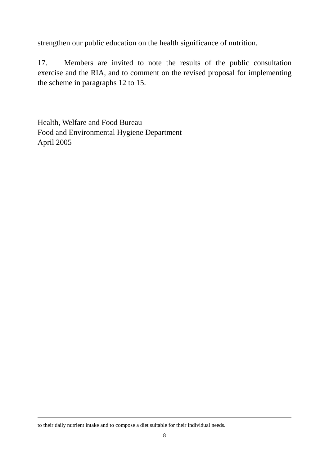strengthen our public education on the health significance of nutrition.

17. Members are invited to note the results of the public consultation exercise and the RIA, and to comment on the revised proposal for implementing the scheme in paragraphs 12 to 15.

Health, Welfare and Food Bureau Food and Environmental Hygiene Department April 2005

to their daily nutrient intake and to compose a diet suitable for their individual needs.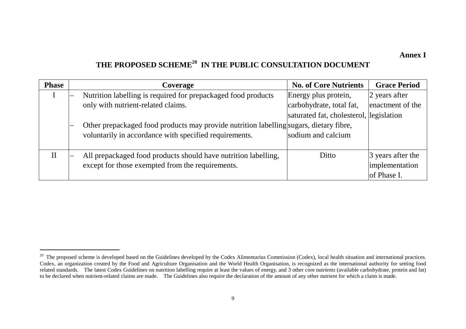**Annex I** 

# <span id="page-8-0"></span>**THE PROPOSED SCHEME[20](#page-8-0) IN THE PUBLIC CONSULTATION DOCUMENT**

| <b>Phase</b> | Coverage                                                                               | <b>No. of Core Nutrients</b>            | <b>Grace Period</b> |
|--------------|----------------------------------------------------------------------------------------|-----------------------------------------|---------------------|
|              | Nutrition labelling is required for prepackaged food products                          | Energy plus protein,                    | 2 years after       |
|              | only with nutrient-related claims.                                                     | carbohydrate, total fat,                | enactment of the    |
|              |                                                                                        | saturated fat, cholesterol, legislation |                     |
|              | Other prepackaged food products may provide nutrition labelling sugars, dietary fibre, |                                         |                     |
|              | voluntarily in accordance with specified requirements.                                 | sodium and calcium                      |                     |
|              |                                                                                        |                                         |                     |
| $\mathbf{I}$ | All prepackaged food products should have nutrition labelling,                         | Ditto                                   | 3 years after the   |
|              | except for those exempted from the requirements.                                       |                                         | implementation      |
|              |                                                                                        |                                         | of Phase I.         |

<sup>&</sup>lt;sup>20</sup> The proposed scheme is developed based on the Guidelines developed by the Codex Alimentarius Commission (Codex), local health situation and international practices. Codex, an organization created by the Food and Agriculture Organisation and the World Health Organisation, is recognized as the international authority for setting food related standards. The latest Codex Guidelines on nutrition labelling require at least the values of energy, and 3 other core nutrients (available carbohydrate, protein and fat) to be declared when nutrient-related claims are made. The Guidelines also require the declaration of the amount of any other nutrient for which a claim is made.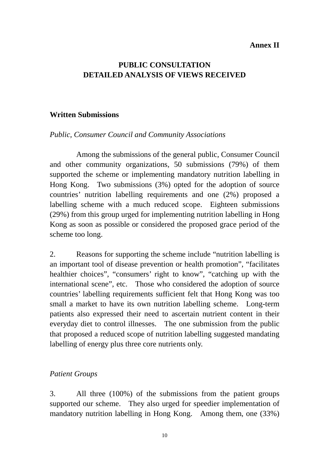### **Annex II**

# **PUBLIC CONSULTATION DETAILED ANALYSIS OF VIEWS RECEIVED**

### **Written Submissions**

### *Public, Consumer Council and Community Associations*

Among the submissions of the general public, Consumer Council and other community organizations, 50 submissions (79%) of them supported the scheme or implementing mandatory nutrition labelling in Hong Kong. Two submissions (3%) opted for the adoption of source countries' nutrition labelling requirements and one (2%) proposed a labelling scheme with a much reduced scope. Eighteen submissions (29%) from this group urged for implementing nutrition labelling in Hong Kong as soon as possible or considered the proposed grace period of the scheme too long.

2. Reasons for supporting the scheme include "nutrition labelling is an important tool of disease prevention or health promotion", "facilitates healthier choices", "consumers' right to know", "catching up with the international scene", etc. Those who considered the adoption of source countries' labelling requirements sufficient felt that Hong Kong was too small a market to have its own nutrition labelling scheme. Long-term patients also expressed their need to ascertain nutrient content in their everyday diet to control illnesses. The one submission from the public that proposed a reduced scope of nutrition labelling suggested mandating labelling of energy plus three core nutrients only.

### *Patient Groups*

3. All three (100%) of the submissions from the patient groups supported our scheme. They also urged for speedier implementation of mandatory nutrition labelling in Hong Kong. Among them, one (33%)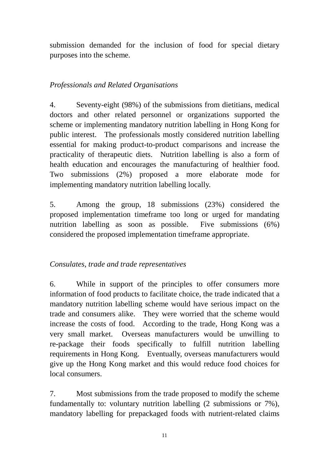submission demanded for the inclusion of food for special dietary purposes into the scheme.

## *Professionals and Related Organisations*

4. Seventy-eight (98%) of the submissions from dietitians, medical doctors and other related personnel or organizations supported the scheme or implementing mandatory nutrition labelling in Hong Kong for public interest. The professionals mostly considered nutrition labelling essential for making product-to-product comparisons and increase the practicality of therapeutic diets. Nutrition labelling is also a form of health education and encourages the manufacturing of healthier food. Two submissions (2%) proposed a more elaborate mode for implementing mandatory nutrition labelling locally.

5. Among the group, 18 submissions (23%) considered the proposed implementation timeframe too long or urged for mandating nutrition labelling as soon as possible. Five submissions (6%) considered the proposed implementation timeframe appropriate.

## *Consulates, trade and trade representatives*

6. While in support of the principles to offer consumers more information of food products to facilitate choice, the trade indicated that a mandatory nutrition labelling scheme would have serious impact on the trade and consumers alike. They were worried that the scheme would increase the costs of food. According to the trade, Hong Kong was a very small market. Overseas manufacturers would be unwilling to re-package their foods specifically to fulfill nutrition labelling requirements in Hong Kong. Eventually, overseas manufacturers would give up the Hong Kong market and this would reduce food choices for local consumers.

7. Most submissions from the trade proposed to modify the scheme fundamentally to: voluntary nutrition labelling (2 submissions or 7%), mandatory labelling for prepackaged foods with nutrient-related claims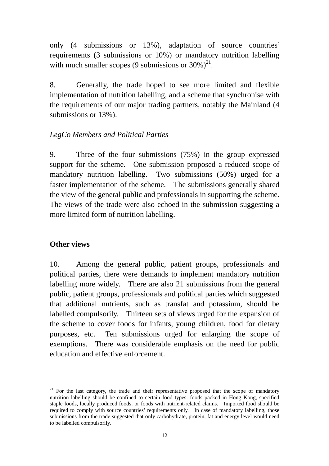only (4 submissions or 13%), adaptation of source countries' requirements (3 submissions or 10%) or mandatory nutrition labelling with much smaller scopes (9 submissions or  $30\%$ )<sup>21</sup>.

8. Generally, the trade hoped to see more limited and flexible implementation of nutrition labelling, and a scheme that synchronise with the requirements of our major trading partners, notably the Mainland (4 submissions or 13%).

## *LegCo Members and Political Parties*

9. Three of the four submissions (75%) in the group expressed support for the scheme. One submission proposed a reduced scope of mandatory nutrition labelling. Two submissions (50%) urged for a faster implementation of the scheme. The submissions generally shared the view of the general public and professionals in supporting the scheme. The views of the trade were also echoed in the submission suggesting a more limited form of nutrition labelling.

### **Other views**

 $\overline{a}$ 

10. Among the general public, patient groups, professionals and political parties, there were demands to implement mandatory nutrition labelling more widely. There are also 21 submissions from the general public, patient groups, professionals and political parties which suggested that additional nutrients, such as transfat and potassium, should be labelled compulsorily. Thirteen sets of views urged for the expansion of the scheme to cover foods for infants, young children, food for dietary purposes, etc. Ten submissions urged for enlarging the scope of exemptions. There was considerable emphasis on the need for public education and effective enforcement.

<span id="page-11-0"></span> $21$  For the last category, the trade and their representative proposed that the scope of mandatory nutrition labelling should be confined to certain food types: foods packed in Hong Kong, specified staple foods, locally produced foods, or foods with nutrient-related claims. Imported food should be required to comply with source countries' requirements only. In case of mandatory labelling, those submissions from the trade suggested that only carbohydrate, protein, fat and energy level would need to be labelled compulsorily.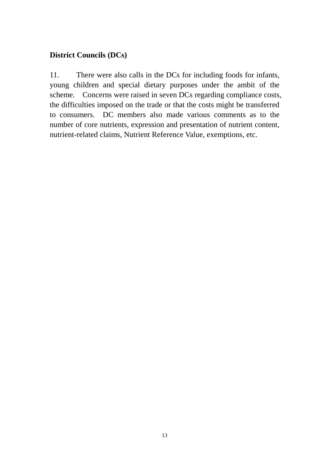# **District Councils (DCs)**

11. There were also calls in the DCs for including foods for infants, young children and special dietary purposes under the ambit of the scheme. Concerns were raised in seven DCs regarding compliance costs, the difficulties imposed on the trade or that the costs might be transferred to consumers. DC members also made various comments as to the number of core nutrients, expression and presentation of nutrient content, nutrient-related claims, Nutrient Reference Value, exemptions, etc.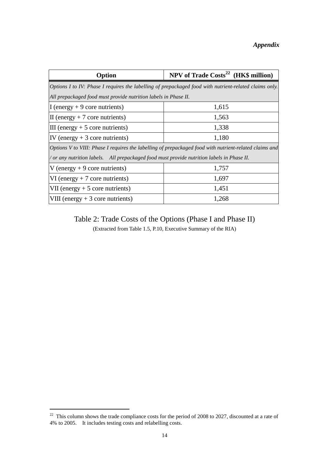| Option                                                                                                 | NPV of Trade Costs <sup>22</sup> (HK\$ million)                                                        |  |  |  |  |  |
|--------------------------------------------------------------------------------------------------------|--------------------------------------------------------------------------------------------------------|--|--|--|--|--|
| Options I to IV: Phase I requires the labelling of prepackaged food with nutrient-related claims only. |                                                                                                        |  |  |  |  |  |
| All prepackaged food must provide nutrition labels in Phase II.                                        |                                                                                                        |  |  |  |  |  |
| I (energy $+9$ core nutrients)                                                                         | 1,615                                                                                                  |  |  |  |  |  |
| $\text{II}$ (energy + 7 core nutrients)                                                                | 1,563                                                                                                  |  |  |  |  |  |
| $III$ (energy + 5 core nutrients)                                                                      | 1,338                                                                                                  |  |  |  |  |  |
| IV (energy $+3$ core nutrients)                                                                        | 1,180                                                                                                  |  |  |  |  |  |
|                                                                                                        | Options V to VIII: Phase I requires the labelling of prepackaged food with nutrient-related claims and |  |  |  |  |  |
| / or any nutrition labels. All prepackaged food must provide nutrition labels in Phase II.             |                                                                                                        |  |  |  |  |  |
| V (energy $+9$ core nutrients)                                                                         | 1,757                                                                                                  |  |  |  |  |  |
| $VI$ (energy + 7 core nutrients)                                                                       | 1,697                                                                                                  |  |  |  |  |  |
| VII (energy $+5$ core nutrients)                                                                       | 1,451                                                                                                  |  |  |  |  |  |
| VIII (energy $+3$ core nutrients)                                                                      | 1,268                                                                                                  |  |  |  |  |  |

Table 2: Trade Costs of the Options (Phase I and Phase II)

(Extracted from Table 1.5, P.10, Executive Summary of the RIA)

 $\overline{a}$ 

<span id="page-13-0"></span> $22$  This column shows the trade compliance costs for the period of 2008 to 2027, discounted at a rate of 4% to 2005. It includes testing costs and relabelling costs.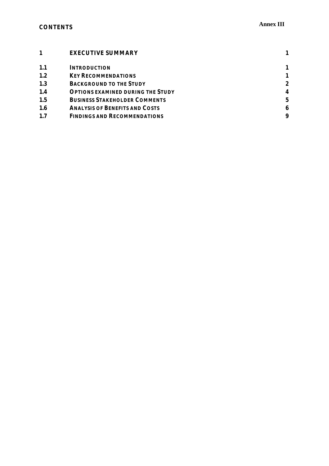|            | <b>EXECUTIVE SUMMARY</b>                 |   |
|------------|------------------------------------------|---|
| 1.1        | <i><b>INTRODUCTION</b></i>               |   |
| 1.2        | <b>KEY RECOMMENDATIONS</b>               |   |
| 1.3        | <b>BACKGROUND TO THE STUDY</b>           | 2 |
| 1.4        | <b>OPTIONS EXAMINED DURING THE STUDY</b> | 4 |
| 1.5        | <b>BUSINESS STAKEHOLDER COMMENTS</b>     | 5 |
| <b>1.6</b> | <b>ANALYSIS OF BENEFITS AND COSTS</b>    | 6 |
| 1.7        | <b>FINDINGS AND RECOMMENDATIONS</b>      | 9 |
|            |                                          |   |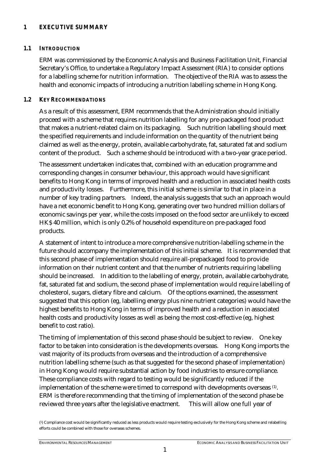#### *1 EXECUTIVE SUMMARY*

#### *1.1 INTRODUCTION*

ERM was commissioned by the Economic Analysis and Business Facilitation Unit, Financial Secretary's Office, to undertake a Regulatory Impact Assessment (RIA) to consider options for a labelling scheme for nutrition information. The objective of the RIA was to assess the health and economic impacts of introducing a nutrition labelling scheme in Hong Kong.

#### *1.2 KEY RECOMMENDATIONS*

As a result of this assessment, ERM recommends that the Administration should initially proceed with a scheme that requires nutrition labelling for any pre-packaged food product that makes a nutrient-related claim on its packaging. Such nutrition labelling should meet the specified requirements and include information on the quantity of the nutrient being claimed as well as the energy, protein, available carbohydrate, fat, saturated fat and sodium content of the product. Such a scheme should be introduced with a two-year grace period.

The assessment undertaken indicates that, combined with an education programme and corresponding changes in consumer behaviour, this approach would have significant benefits to Hong Kong in terms of improved health and a reduction in associated health costs and productivity losses. Furthermore, this initial scheme is similar to that in place in a number of key trading partners. Indeed, the analysis suggests that such an approach would have a net economic benefit to Hong Kong, generating over two hundred million dollars of economic savings per year, while the costs imposed on the food sector are unlikely to exceed HK\$ 40 million, which is only 0.2% of household expenditure on pre-packaged food products.

A statement of intent to introduce a more comprehensive nutrition-labelling scheme in the future should accompany the implementation of this initial scheme. It is recommended that this second phase of implementation should require all-prepackaged food to provide information on their nutrient content and that the number of nutrients requiring labelling should be increased. In addition to the labelling of energy, protein, available carbohydrate, fat, saturated fat and sodium, the second phase of implementation would require labelling of cholesterol, sugars, dietary fibre and calcium. Of the options examined, the assessment suggested that this option (eg, labelling energy plus nine nutrient categories) would have the highest benefits to Hong Kong in terms of improved health and a reduction in associated health costs and productivity losses as well as being the most cost-effective (eg, highest benefit to cost ratio).

The timing of implementation of this second phase should be subject to review. One key factor to be taken into consideration is the developments overseas. Hong Kong imports the vast majority of its products from overseas and the introduction of a comprehensive nutrition labelling scheme (such as that suggested for the second phase of implementation) in Hong Kong would require substantial action by food industries to ensure compliance. These compliance costs with regard to testing would be significantly reduced if the implementation of the scheme were timed to correspond with developments overseas (1). ERM is therefore recommending that the timing of implementation of the second phase be reviewed three years after the legislative enactment. This will allow one full year of

(1) Compliance cost would be significantly reduced as less products would require testing exclusively for the Hong Kong scheme and relabelling efforts could be combined with those for overseas schemes.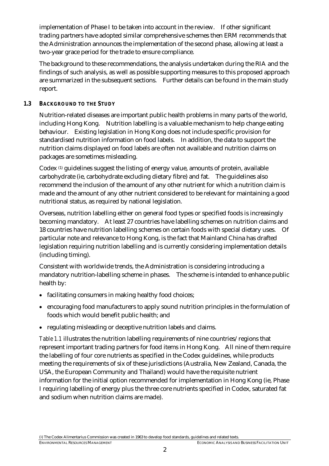implementation of Phase I to be taken into account in the review. If other significant trading partners have adopted similar comprehensive schemes then ERM recommends that the Administration announces the implementation of the second phase, allowing at least a two-year grace period for the trade to ensure compliance.

The background to these recommendations, the analysis undertaken during the RIA and the findings of such analysis, as well as possible supporting measures to this proposed approach are summarized in the subsequent sections. Further details can be found in the main study report.

#### *1.3 BACKGROUND TO THE STUDY*

Nutrition-related diseases are important public health problems in many parts of the world, including Hong Kong. Nutrition labelling is a valuable mechanism to help change eating behaviour. Existing legislation in Hong Kong does not include specific provision for standardised nutrition information on food labels. In addition, the data to support the nutrition claims displayed on food labels are often not available and nutrition claims on packages are sometimes misleading.

Codex (1) guidelines suggest the listing of energy value, amounts of protein, available carbohydrate (ie, carbohydrate excluding dietary fibre) and fat. The guidelines also recommend the inclusion of the amount of any other nutrient for which a nutrition claim is made and the amount of any other nutrient considered to be relevant for maintaining a good nutritional status, as required by national legislation.

Overseas, nutrition labelling either on general food types or specified foods is increasingly becoming mandatory. At least 27 countries have labelling schemes on nutrition claims and 18 countries have nutrition labelling schemes on certain foods with special dietary uses. Of particular note and relevance to Hong Kong, is the fact that Mainland China has drafted legislation requiring nutrition labelling and is currently considering implementation details (including timing).

Consistent with worldwide trends, the Administration is considering introducing a mandatory nutrition-labelling scheme in phases. The scheme is intended to enhance public health by:

- facilitating consumers in making healthy food choices;
- encouraging food manufacturers to apply sound nutrition principles in the formulation of foods which would benefit public health; and
- regulating misleading or deceptive nutrition labels and claims.

*Table 1.1* illustrates the nutrition labelling requirements of nine countries/regions that represent important trading partners for food items in Hong Kong. All nine of them require the labelling of four core nutrients as specified in the Codex guidelines, while products meeting the requirements of six of these jurisdictions (Australia, New Zealand, Canada, the USA, the European Community and Thailand) would have the requisite nutrient information for the initial option recommended for implementation in Hong Kong (ie, Phase I requiring labelling of energy plus the three core nutrients specified in Codex, saturated fat and sodium when nutrition claims are made).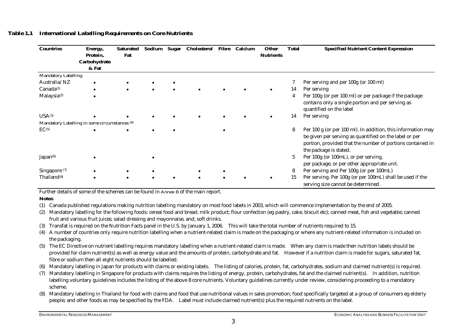| <b>Countries</b>         | Energy,<br>Protein,<br>Carbohydrate           | <b>Saturated</b><br>Fat |  | Sodium Sugar Cholesterol Fibre Calcium |  | <b>Other</b><br><b>Nutrients</b> | <b>Total</b> | <b>Specified Nutrient Content Expression</b>                                                                                                                                                                   |
|--------------------------|-----------------------------------------------|-------------------------|--|----------------------------------------|--|----------------------------------|--------------|----------------------------------------------------------------------------------------------------------------------------------------------------------------------------------------------------------------|
| Mandatory Labelling      | & Fat                                         |                         |  |                                        |  |                                  |              |                                                                                                                                                                                                                |
| Australia/NZ             |                                               |                         |  |                                        |  |                                  |              | Per serving and per 100g (or 100 ml)                                                                                                                                                                           |
|                          |                                               |                         |  |                                        |  |                                  |              |                                                                                                                                                                                                                |
| Canada <sup>(1)</sup>    |                                               |                         |  |                                        |  |                                  | 14           | Per serving                                                                                                                                                                                                    |
| Malaysia <sup>(2)</sup>  |                                               |                         |  |                                        |  |                                  | 4            | Per 100g (or per 100 ml) or per package if the package<br>contains only a single portion and per serving as<br>quantified on the label                                                                         |
| $USA^{(3)}$              |                                               |                         |  |                                        |  |                                  | 14           | Per serving                                                                                                                                                                                                    |
|                          | Mandatory Labelling in some circumstances (4) |                         |  |                                        |  |                                  |              |                                                                                                                                                                                                                |
| EC <sub>(5)</sub>        |                                               |                         |  |                                        |  |                                  | 8            | Per 100 g (or per 100 ml). In addition, this information may<br>be given per serving as quantified on the label or per<br>portion, provided that the number of portions contained in<br>the package is stated. |
| Japan <sup>(6)</sup>     |                                               |                         |  |                                        |  |                                  | 5            | Per 100g (or 100mL), or per serving,<br>per package, or per other appropriate unit.                                                                                                                            |
| Singapore <sup>(7)</sup> |                                               |                         |  |                                        |  |                                  | 8            | Per serving and Per 100g (or per 100mL)                                                                                                                                                                        |
| Thailand <sup>(8)</sup>  |                                               |                         |  |                                        |  |                                  | 15           | Per serving. Per 100g (or per 100mL) shall be used if the<br>serving size cannot be determined.                                                                                                                |

#### *Table 1.1 International Labelling Requirements on Core Nutrients*

Further details of some of the schemes can be found in *Annex B* of the main report.

#### **Notes**:

- (1) Canada published regulations making nutrition labelling mandatory on most food labels in 2003, which will commence implementation by the end of 2005.
- (2) Mandatory labelling for the following foods: cereal food and bread; milk product; flour confection (eg pastry, cake, biscuit etc); canned meat, fish and vegetable; canned fruit and various fruit juices; salad dressing and mayonnaise, and; soft drinks.
- (3) Transfat is required on the Nutrition Facts panel in the U.S. by January 1, 2006. This will take the total number of nutrients required to 15.
- (4) A number of countries only require nutrition labelling when a nutrient-related claim is made on the packaging or where any nutrient-related information is included on the packaging.
- (5) The EC Directive on nutrient labelling requires mandatory labelling when a nutrient-related claim is made. When any claim is made then nutrition labels should be provided for claim nutrient(s) as well as energy value and the amounts of protein, carbohydrate and fat. However if a nutrition claim is made for sugars, saturated fat, fibre or sodium then all eight nutrients should be labelled.
- (6) Mandatory labelling in Japan for products with claims or existing labels. The listing of calories, protein, fat, carbohydrates, sodium and claimed nutrient(s) is required.
- (7) Mandatory labelling in Singapore for products with claims requires the listing of energy, protein, carbohydrates, fat and the claimed nutrient(s). In addition, nutrition labelling voluntary guidelines includes the listing of the above 8 core nutrients. Voluntary guidelines currently under review, considering proceeding to a mandatory scheme.
- (8) Mandatory labelling in Thailand for food with claims and food that use nutritional values in sales promotion; food specifically targeted at a group of consumers eg elderly people; and other foods as may be specified by the FDA. Label must include claimed nutrient(s) plus the required nutrients on the label.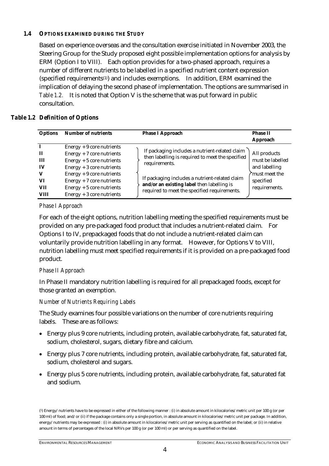#### *1.4 OPTIONS EXAMINED DURING THE STUDY*

Based on experience overseas and the consultation exercise initiated in November 2003, the Steering Group for the Study proposed eight possible implementation options for analysis by ERM (Option I to VIII). Each option provides for a two-phased approach, requires a number of different nutrients to be labelled in a specified nutrient content expression (specified requirements(1)) and includes exemptions. In addition, ERM examined the implication of delaying the second phase of implementation. The options are summarised in *Table 1.2.* It is noted that Option V is the scheme that was put forward in public consultation.

#### *Table 1.2 Definition of Options*

| <b>Options</b>                                | <b>Number of nutrients</b>                                                                                                                                                                                                                          | <b>Phase I Approach</b>                                                                                                                                                                                                                                             | <b>Phase II</b><br>Approach                                                                      |
|-----------------------------------------------|-----------------------------------------------------------------------------------------------------------------------------------------------------------------------------------------------------------------------------------------------------|---------------------------------------------------------------------------------------------------------------------------------------------------------------------------------------------------------------------------------------------------------------------|--------------------------------------------------------------------------------------------------|
| п<br>Ш<br>IV<br>v<br>VI<br><b>VII</b><br>VIII | $Energy + 9$ core nutrients<br>$Energy + 7$ core nutrients<br>Energy $+5$ core nutrients<br>$Energy + 3 core nutrients$<br>$Energy + 9$ core nutrients<br>$Energy + 7$ core nutrients<br>$Energy + 5$ core nutrients<br>$Energy + 3 core nutrients$ | If packaging includes a nutrient-related claim<br>then labelling is required to meet the specified<br>requirements.<br>If packaging includes a nutrient-related claim<br>and/or an existing label then labelling is<br>required to meet the specified requirements. | All products<br>must be labelled<br>and labelling<br>must meet the<br>specified<br>requirements. |

#### *Phase I Approach*

For each of the eight options, nutrition labelling meeting the specified requirements must be provided on any pre-packaged food product that includes a nutrient-related claim. For Options I to IV, prepackaged foods that do not include a nutrient-related claim can voluntarily provide nutrition labelling in any format. However, for Options V to VIII, nutrition labelling must meet specified requirements if it is provided on a pre-packaged food product.

#### *Phase II Approach*

In Phase II mandatory nutrition labelling is required for all prepackaged foods, except for those granted an exemption.

#### *Number of Nutrients Requiring Labels*

The Study examines four possible variations on the number of core nutrients requiring labels. These are as follows:

- Energy plus 9 core nutrients, including protein, available carbohydrate, fat, saturated fat, sodium, cholesterol, sugars, dietary fibre and calcium.
- Energy plus 7 core nutrients, including protein, available carbohydrate, fat, saturated fat, sodium, cholesterol and sugars.
- Energy plus 5 core nutrients, including protein, available carbohydrate, fat, saturated fat and sodium.

<sup>(1)</sup> Energy/nutrients have to be expressed in either of the following manner : (i) in absolute amount in kilocalories/metric unit per 100 g (or per 100 ml) of food; and/or (ii) if the package contains only a single portion, in absolute amount in kilocalories/metric unit per package. In addition, energy/nutrients may be expressed : (i) in absolute amount in kilocalories/metric unit per serving as quantified on the label; or (ii) in relative amount in terms of percentages of the local NRVs per 100 g (or per 100 ml) or per serving as quantified on the label.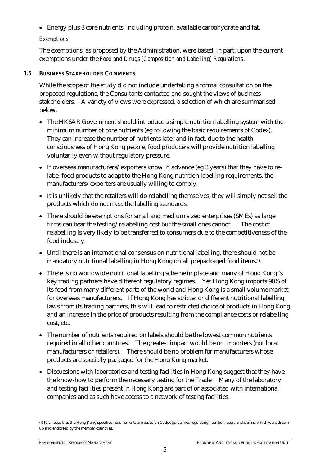• Energy plus 3 core nutrients, including protein, available carbohydrate and fat.

#### *Exemptions*

The exemptions, as proposed by the Administration, were based, in part, upon the current exemptions under the *Food and Drugs (Composition and Labelling) Regulations*.

#### *1.5 BUSINESS STAKEHOLDER COMMENTS*

While the scope of the study did not include undertaking a formal consultation on the proposed regulations, the Consultants contacted and sought the views of business stakeholders. A variety of views were expressed, a selection of which are summarised below.

- The HKSAR Government should introduce a simple nutrition labelling system with the minimum number of core nutrients (eg following the basic requirements of Codex). They can increase the number of nutrients later and in fact, due to the health consciousness of Hong Kong people, food producers will provide nutrition labelling voluntarily even without regulatory pressure.
- If overseas manufacturers/exporters know in advance (eg 3 years) that they have to relabel food products to adapt to the Hong Kong nutrition labelling requirements, the manufacturers/exporters are usually willing to comply.
- It is unlikely that the retailers will do relabelling themselves, they will simply not sell the products which do not meet the labelling standards.
- There should be exemptions for small and medium sized enterprises (SMEs) as large firms can bear the testing/relabelling cost but the small ones cannot. The cost of relabelling is very likely to be transferred to consumers due to the competitiveness of the food industry.
- Until there is an international consensus on nutritional labelling, there should not be mandatory nutritional labelling in Hong Kong on all prepackaged food items<sup>(1)</sup>.
- There is no worldwide nutritional labelling scheme in place and many of Hong Kong 's key trading partners have different regulatory regimes. Yet Hong Kong imports 90% of its food from many different parts of the world and Hong Kong is a small volume market for overseas manufacturers. If Hong Kong has stricter or different nutritional labelling laws from its trading partners, this will lead to restricted choice of products in Hong Kong and an increase in the price of products resulting from the compliance costs or relabelling cost, etc.
- The number of nutrients required on labels should be the lowest common nutrients required in all other countries. The greatest impact would be on importers (not local manufacturers or retailers). There should be no problem for manufacturers whose products are specially packaged for the Hong Kong market.
- Discussions with laboratories and testing facilities in Hong Kong suggest that they have the know-how to perform the necessary testing for the Trade. Many of the laboratory and testing facilities present in Hong Kong are part of or associated with international companies and as such have access to a network of testing facilities.

<sup>(1)</sup> It is noted that the Hong Kong specified requirements are based on Codex guidelines regulating nutrition labels and claims, which were drawn up and endorsed by the member countries.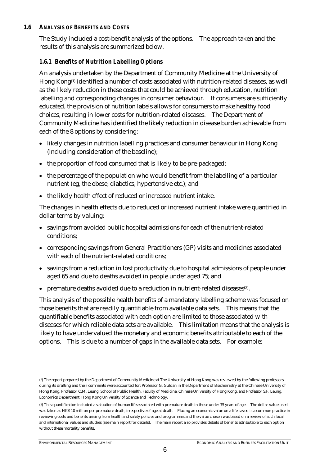#### *1.6 ANALYSIS OF BENEFITS AND COSTS*

The Study included a cost-benefit analysis of the options. The approach taken and the results of this analysis are summarized below.

#### *1.6.1 Benefits of Nutrition Labelling Options*

An analysis undertaken by the Department of Community Medicine at the University of Hong Kong<sup>(1)</sup> identified a number of costs associated with nutrition-related diseases, as well as the likely reduction in these costs that could be achieved through education, nutrition labelling and corresponding changes in consumer behaviour. If consumers are sufficiently educated, the provision of nutrition labels allows for consumers to make healthy food choices, resulting in lower costs for nutrition-related diseases. The Department of Community Medicine has identified the likely reduction in disease burden achievable from each of the 8 options by considering:

- likely changes in nutrition labelling practices and consumer behaviour in Hong Kong (including consideration of the baseline);
- the proportion of food consumed that is likely to be pre-packaged;
- the percentage of the population who would benefit from the labelling of a particular nutrient (eg, the obese, diabetics, hypertensive etc.); and
- the likely health effect of reduced or increased nutrient intake.

The changes in health effects due to reduced or increased nutrient intake were quantified in dollar terms by valuing:

- savings from avoided public hospital admissions for each of the nutrient-related conditions;
- corresponding savings from General Practitioners (GP) visits and medicines associated with each of the nutrient-related conditions;
- savings from a reduction in lost productivity due to hospital admissions of people under aged 65 and due to deaths avoided in people under aged 75; and
- premature deaths avoided due to a reduction in nutrient-related diseases<sup>(2)</sup>.

This analysis of the possible health benefits of a mandatory labelling scheme was focused on those benefits that are readily quantifiable from available data sets. This means that the quantifiable benefits associated with each option are limited to those associated with diseases for which reliable data sets are available. This limitation means that the analysis is likely to have undervalued the monetary and economic benefits attributable to each of the options. This is due to a number of gaps in the available data sets. For example:

<sup>(1)</sup> The report prepared by the Department of Community Medicine at The University of Hong Kong was reviewed by the following professors during its drafting and their comments were accounted for: Professor G. Guldan in the Department of Biochemistry at the Chinese University of Hong Kong, Professor C.M. Leung, School of Public Health, Faculty of Medicine, Chinese University of Hong Kong, and Professor S.F. Leung, Economics Department, Hong Kong University of Science and Technology.

<sup>(2)</sup> This quantification included a valuation of human life associated with premature death in those under 75 years of age. The dollar value used was taken as HK\$ 10 million per premature death, irrespective of age at death. Placing an economic value on a life saved is a common practice in reviewing costs and benefits arising from health and safety policies and programmes and the value chosen was based on a review of such local and international values and studies (see main report for details). The main report also provides details of benefits attributable to each option without these mortality benefits.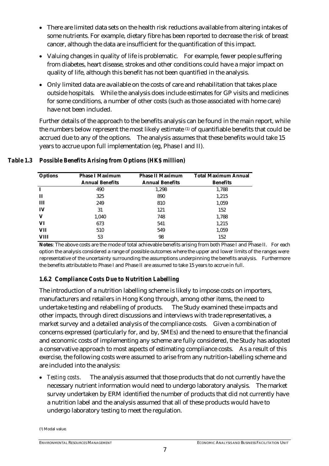- There are limited data sets on the health risk reductions available from altering intakes of some nutrients. For example, dietary fibre has been reported to decrease the risk of breast cancer, although the data are insufficient for the quantification of this impact.
- Valuing changes in quality of life is problematic. For example, fewer people suffering from diabetes, heart disease, strokes and other conditions could have a major impact on quality of life, although this benefit has not been quantified in the analysis.
- Only limited data are available on the costs of care and rehabilitation that takes place outside hospitals. While the analysis does include estimates for GP visits and medicines for some conditions, a number of other costs (such as those associated with home care) have not been included.

Further details of the approach to the benefits analysis can be found in the main report, while the numbers below represent the most likely estimate (1) of quantifiable benefits that could be accrued due to any of the options. The analysis assumes that these benefits would take 15 years to accrue upon full implementation (eg, Phase I and II).

| <b>Options</b> | <b>Phase I Maximum</b> | <b>Phase II Maximum</b> | <b>Total Maximum Annual</b> |
|----------------|------------------------|-------------------------|-----------------------------|
|                | <b>Annual Benefits</b> | <b>Annual Benefits</b>  | <b>Benefits</b>             |
| $\mathbf I$    | 490                    | 1,298                   | 1,788                       |
| п              | 325                    | 890                     | 1,215                       |
| Ш              | 249                    | 810                     | 1,059                       |
| IV             | 31                     | 121                     | 152                         |
| V              | 1,040                  | 748                     | 1,788                       |
| VI             | 673                    | 541                     | 1,215                       |
| VII            | 510                    | 549                     | 1,059                       |
| <b>VIII</b>    | 53                     | 98                      | 152                         |

#### *Table 1.3 Possible Benefits Arising from Options (HK\$ million)*

**Notes**: The above costs are the mode of total achievable benefits arising from both Phase I and Phase II. For each option the analysis considered a range of possible outcomes where the upper and lower limits of the ranges were representative of the uncertainty surrounding the assumptions underpinning the benefits analysis. Furthermore the benefits attributable to Phase I and Phase II are assumed to take 15 years to accrue in full.

### *1.6.2 Compliance Costs Due to Nutrition Labelling*

The introduction of a nutrition labelling scheme is likely to impose costs on importers, manufacturers and retailers in Hong Kong through, among other items, the need to undertake testing and relabelling of products. The Study examined these impacts and other impacts, through direct discussions and interviews with trade representatives, a market survey and a detailed analysis of the compliance costs. Given a combination of concerns expressed (particularly for, and by, SMEs) and the need to ensure that the financial and economic costs of implementing any scheme are fully considered, the Study has adopted a conservative approach to most aspects of estimating compliance costs. As a result of this exercise, the following costs were assumed to arise from any nutrition-labelling scheme and are included into the analysis:

• *Testing costs*. The analysis assumed that those products that do not currently have the necessary nutrient information would need to undergo laboratory analysis. The market survey undertaken by ERM identified the number of products that did not currently have a nutrition label and the analysis assumed that all of these products would have to undergo laboratory testing to meet the regulation.

(1) Modal value.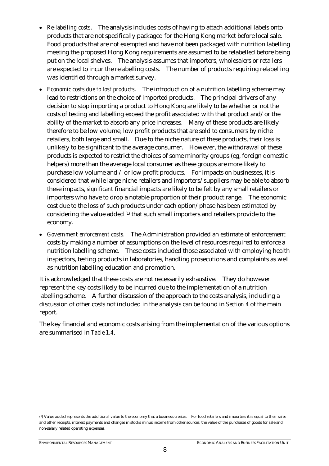- *Re-labelling costs*. The analysis includes costs of having to attach additional labels onto products that are not specifically packaged for the Hong Kong market before local sale. Food products that are not exempted and have not been packaged with nutrition labelling meeting the proposed Hong Kong requirements are assumed to be relabelled before being put on the local shelves. The analysis assumes that importers, wholesalers or retailers are expected to incur the relabelling costs. The number of products requiring relabelling was identified through a market survey.
- *Economic costs due to lost products*. The introduction of a nutrition labelling scheme may lead to restrictions on the choice of imported products. The principal drivers of any decision to stop importing a product to Hong Kong are likely to be whether or not the costs of testing and labelling exceed the profit associated with that product and/or the ability of the market to absorb any price increases. Many of these products are likely therefore to be low volume, low profit products that are sold to consumers by niche retailers, both large and small. Due to the niche nature of these products, their loss is unlikely to be significant to the average consumer. However, the withdrawal of these products is expected to restrict the choices of some minority groups (eg, foreign domestic helpers) more than the average local consumer as these groups are more likely to purchase low volume and / or low profit products. For impacts on businesses, it is considered that while large niche retailers and importers/suppliers may be able to absorb these impacts, *significant* financial impacts are likely to be felt by any small retailers or importers who have to drop a notable proportion of their product range. The economic cost due to the loss of such products under each option/phase has been estimated by considering the value added (1) that such small importers and retailers provide to the economy.
- *Government enforcement costs.* The Administration provided an estimate of enforcement costs by making a number of assumptions on the level of resources required to enforce a nutrition labelling scheme. These costs included those associated with employing health inspectors, testing products in laboratories, handling prosecutions and complaints as well as nutrition labelling education and promotion.

It is acknowledged that these costs are not necessarily exhaustive. They do however represent the key costs likely to be incurred due to the implementation of a nutrition labelling scheme. A further discussion of the approach to the costs analysis, including a discussion of other costs not included in the analysis can be found in *Section 4* of the main report.

The key financial and economic costs arising from the implementation of the various options are summarised in *Table 1.4*.

<sup>(1)</sup> Value added represents the additional value to the economy that a business creates. For food retailers and importers it is equal to their sales and other receipts, interest payments and changes in stocks minus income from other sources, the value of the purchases of goods for sale and non-salary related operating expenses.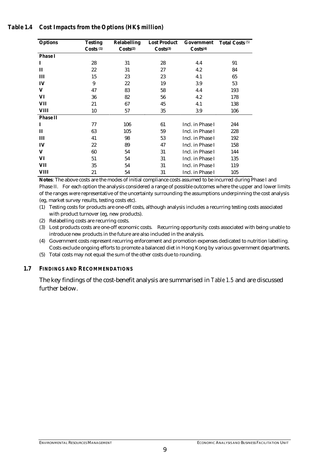#### *Table 1.4 Cost Impacts from the Options (HK\$ million)*

| <b>Options</b>  | <b>Testing</b> | <b>Relabelling</b>   | <b>Lost Product</b>  | Government           | <b>Total Costs</b> (5) |
|-----------------|----------------|----------------------|----------------------|----------------------|------------------------|
|                 | Costs $(1)$    | Costs <sup>(2)</sup> | Costs <sup>(3)</sup> | Costs <sup>(4)</sup> |                        |
| <b>Phase I</b>  |                |                      |                      |                      |                        |
| 1               | 28             | 31                   | 28                   | 4.4                  | 91                     |
| $\mathbf{I}$    | 22             | 31                   | 27                   | 4.2                  | 84                     |
| Ш               | 15             | 23                   | 23                   | 4.1                  | 65                     |
| IV              | 9              | 22                   | 19                   | 3.9                  | 53                     |
| V               | 47             | 83                   | 58                   | 4.4                  | 193                    |
| VI              | 36             | 82                   | 56                   | 4.2                  | 178                    |
| VII             | 21             | 67                   | 45                   | 4.1                  | 138                    |
| VIII            | 10             | 57                   | 35                   | 3.9                  | 106                    |
| <b>Phase II</b> |                |                      |                      |                      |                        |
| I               | 77             | 106                  | 61                   | Incl. in Phase I     | 244                    |
| $\mathbf{I}$    | 63             | 105                  | 59                   | Incl. in Phase I     | 228                    |
| Ш               | 41             | 98                   | 53                   | Incl. in Phase I     | 192                    |
| IV              | 22             | 89                   | 47                   | Incl. in Phase I     | 158                    |
| V               | 60             | 54                   | 31                   | Incl. in Phase I     | 144                    |
| VI              | 51             | 54                   | 31                   | Incl. in Phase I     | 135                    |
| VII             | 35             | 54                   | 31                   | Incl. in Phase I     | 119                    |
| VIII            | 21             | 54                   | 31                   | Incl. in Phase I     | 105                    |

**Notes**: The above costs are the modes of initial compliance costs assumed to be incurred during Phase I and Phase II. For each option the analysis considered a range of possible outcomes where the upper and lower limits of the ranges were representative of the uncertainty surrounding the assumptions underpinning the cost analysis (eg, market survey results, testing costs etc).

- (1) Testing costs for products are one-off costs, although analysis includes a recurring testing costs associated with product turnover (eg, new products).
- (2) Relabelling costs are recurring costs.
- (3) Lost products costs are one-off economic costs. Recurring opportunity costs associated with being unable to introduce new products in the future are also included in the analysis.
- (4) Government costs represent recurring enforcement and promotion expenses dedicated to nutrition labelling. Costs exclude ongoing efforts to promote a balanced diet in Hong Kong by various government departments.
- (5) Total costs may not equal the sum of the other costs due to rounding.

#### *1.7 FINDINGS AND RECOMMENDATIONS*

The key findings of the cost-benefit analysis are summarised in *Table 1.5* and are discussed further below.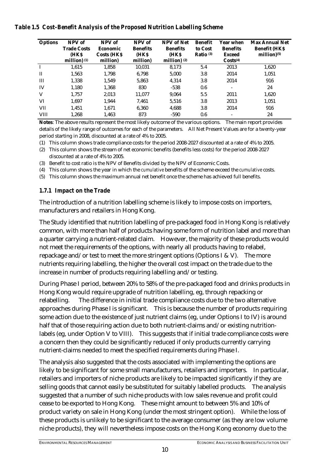#### *Table 1.5 Cost-Benefit Analysis of the Proposed Nutrition Labelling Scheme*

| <b>Options</b> | NPV of             | NPV of             | NPV of          | <b>NPV</b> of Net | <b>Benefit</b>       | Year when                | <b>Max Annual Net</b>     |
|----------------|--------------------|--------------------|-----------------|-------------------|----------------------|--------------------------|---------------------------|
|                | <b>Trade Costs</b> | Economic           | <b>Benefits</b> | <b>Benefits</b>   | to Cost              | <b>Benefits</b>          | <b>Benefit (HKS)</b>      |
|                | <b>HKS</b>         | <b>Costs (HKS)</b> | (HKS            | (HKS              | Ratio <sup>(3)</sup> | <b>Exceed</b>            | $million)$ <sup>(5)</sup> |
|                | million) $(1)$     | million)           | million)        | million) $(2)$    |                      | Costs <sup>(4)</sup>     |                           |
| $\mathbf I$    | 1,615              | 1,858              | 10,031          | 8,173             | 5.4                  | 2013                     | 1,620                     |
| $\mathbf{I}$   | 1,563              | 1,798              | 6.798           | 5.000             | 3.8                  | 2014                     | 1,051                     |
| III            | 1,338              | 1,549              | 5.863           | 4,314             | 3.8                  | 2014                     | 916                       |
| IV             | 1,180              | 1,368              | 830             | $-538$            | 0.6                  | $\overline{\phantom{a}}$ | 24                        |
| V              | 1,757              | 2,013              | 11,077          | 9.064             | 5.5                  | 2011                     | 1,620                     |
| VI             | 1,697              | 1,944              | 7.461           | 5.516             | 3.8                  | 2013                     | 1,051                     |
| <b>VII</b>     | 1,451              | 1.671              | 6.360           | 4.688             | 3.8                  | 2014                     | 916                       |
| <b>VIII</b>    | 1,268              | 1,463              | 873             | $-590$            | 0.6                  | $\overline{\phantom{0}}$ | 24                        |

**Notes**: The above results represent the most likely outcome of the various options. The main report provides details of the likely range of outcomes for each of the parameters. All Net Present Values are for a twenty-year period starting in 2008, discounted at a rate of 4% to 2005.

- (1) This column shows trade compliance costs for the period 2008-2027 discounted at a rate of 4% to 2005.
- (2) This column shows the stream of net economic benefits (benefits less costs) for the period 2008-2027 discounted at a rate of 4% to 2005.
- (3) Benefit to cost ratio is the NPV of Benefits divided by the NPV of Economic Costs.
- (4) This column shows the year in which the *cumulative* benefits of the scheme exceed the *cumulative* costs.
- (5) This column shows the maximum annual net benefit once the scheme has achieved full benefits.

#### *1.7.1 Impact on the Trade*

The introduction of a nutrition labelling scheme is likely to impose costs on importers, manufacturers and retailers in Hong Kong.

The Study identified that nutrition labelling of pre-packaged food in Hong Kong is relatively common, with more than half of products having some form of nutrition label and more than a quarter carrying a nutrient-related claim. However, the majority of these products would not meet the requirements of the options, with nearly all products having to relabel, repackage and/or test to meet the more stringent options (Options I & V). The more nutrients requiring labelling, the higher the overall cost impact on the trade due to the increase in number of products requiring labelling and/or testing.

During Phase I period, between 20% to 58% of the pre-packaged food and drinks products in Hong Kong would require upgrade of nutrition labelling, eg, through repacking or relabelling. The difference in initial trade compliance costs due to the two alternative approaches during Phase Iis significant. This is because the number of products requiring some action due to the existence of just nutrient claims (eg, under Options I to IV) is around half that of those requiring action due to both nutrient-claims and/or existing nutritionlabels (eg, under Option V to VIII). This suggests that if initial trade compliance costs were a concern then they could be significantly reduced if only products currently carrying nutrient-claims needed to meet the specified requirements during Phase I.

The analysis also suggested that the costs associated with implementing the options are likely to be significant for some small manufacturers, retailers and importers. In particular, retailers and importers of niche products are likely to be impacted significantly if they are selling goods that cannot easily be substituted for suitably labelled products. The analysis suggested that a number of such niche products with low sales revenue and profit could cease to be exported to Hong Kong. These might amount to between 5% and 10% of product variety on sale in Hong Kong (under the most stringent option). While the loss of these products is unlikely to be significant to the average consumer (as they are low volume niche products), they will nevertheless impose costs on the Hong Kong economy due to the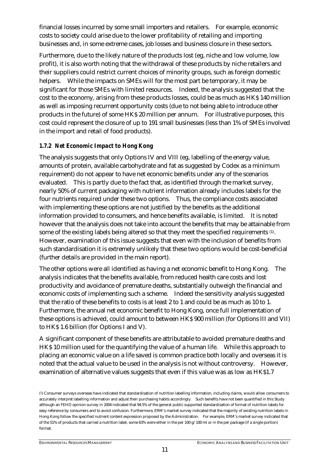financial losses incurred by some small importers and retailers. For example, economic costs to society could arise due to the lower profitability of retailing and importing businesses and, in some extreme cases, job losses and business closure in these sectors.

Furthermore, due to the likely nature of the products lost (eg, niche and low volume, low profit), it is also worth noting that the withdrawal of these products by niche retailers and their suppliers could restrict current choices of minority groups, such as foreign domestic helpers. While the impacts on SMEs will for the most part be temporary, it may be significant for those SMEs with limited resources. Indeed, the analysis suggested that the cost to the economy, arising from these products losses, could be as much as HK\$ 140 million as well as imposing recurrent opportunity costs (due to not being able to introduce other products in the future) of some HK\$ 20 million per annum. For illustrative purposes, this cost could represent the closure of up to 191 small businesses (less than 1% of SMEs involved in the import and retail of food products).

#### *1.7.2 Net Economic Impact to Hong Kong*

The analysis suggests that only Options IV and VIII (eg, labelling of the energy value, amounts of protein, available carbohydrate and fat as suggested by Codex as a minimum requirement) do not appear to have net economic benefits under any of the scenarios evaluated. This is partly due to the fact that, as identified through the market survey, nearly 50% of current packaging with nutrient information already includes labels for the four nutrients required under these two options. Thus, the compliance costs associated with implementing these options are not justified by the benefits as the additional information provided to consumers, and hence benefits available, is limited. It is noted however that the analysis does not take into account the benefits that may be attainable from some of the existing labels being altered so that they meet the specified requirements (1). However, examination of this issue suggests that even with the inclusion of benefits from such standardisation it is extremely unlikely that these two options would be cost-beneficial (further details are provided in the main report).

The other options were all identified as having a net economic benefit to Hong Kong. The analysis indicates that the benefits available, from reduced health care costs and lost productivity and avoidance of premature deaths, substantially outweigh the financial and economic costs of implementing such a scheme. Indeed the sensitivity analysis suggested that the ratio of these benefits to costs is at least 2 to 1 and could be as much as 10 to 1. Furthermore, the annual net economic benefit to Hong Kong, once full implementation of these options is achieved, could amount to between HK\$ 900 million (for Options III and VII) to HK\$ 1.6 billion (for Options I and V).

A significant component of these benefits are attributable to avoided premature deaths and HK\$ 10 million used for the quantifying the value of a human life. While this approach to placing an economic value on a life saved is common practice both locally and overseas it is noted that the actual value to be used in the analysis is not without controversy. However, examination of alternative values suggests that even if this value was as low as HK\$1.7

<sup>(1)</sup> Consumer surveys overseas have indicated that standardisation of nutrition labelling information, including claims, would allow consumers to accurately interpret labelling information and adjust their purchasing habits accordingly. Such benefits have not been quantified in this Study although an FEHD opinion survey in 2004 indicated that 94.5% of the general public supported standardisation of format of nutrition labels for easy reference by consumers and to avoid confusion. Furthermore, ERM's market survey indicated that the majority of existing nutrition labels in Hong Kong follow the specified nutrient content expression proposed by the Administration. For example, ERM's market survey indicated that of the 51% of products that carried a nutrition label, some 63% were either in the per 100 g/100 ml or in the per package (if a single portion) format.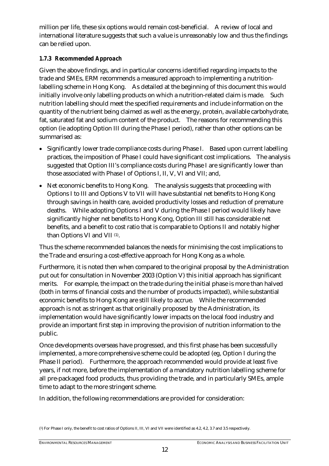million per life, these six options would remain cost-beneficial. A review of local and international literature suggests that such a value is unreasonably low and thus the findings can be relied upon.

#### *1.7.3 Recommended Approach*

Given the above findings, and in particular concerns identified regarding impacts to the trade and SMEs, ERM recommends a measured approach to implementing a nutritionlabelling scheme in Hong Kong. As detailed at the beginning of this document this would initially involve only labelling products on which a nutrition-related claim is made. Such nutrition labelling should meet the specified requirements and include information on the quantity of the nutrient being claimed as well as the energy, protein, available carbohydrate, fat, saturated fat and sodium content of the product. The reasons for recommending this option (ie adopting Option III during the Phase I period), rather than other options can be summarised as:

- Significantly lower trade compliance costs during Phase I. Based upon current labelling practices, the imposition of Phase I could have significant cost implications. The analysis suggested that Option III's compliance costs during Phase I are significantly lower than those associated with Phase I of Options I, II, V, VI and VII; and,
- Net economic benefits to Hong Kong. The analysis suggests that proceeding with Options I to III and Options V to VII will have substantial net benefits to Hong Kong through savings in health care, avoided productivity losses and reduction of premature deaths. While adopting Options I and V during the Phase I period would likely have significantly higher net benefits to Hong Kong, Option III still has considerable net benefits, and a benefit to cost ratio that is comparable to Options II and notably higher than Options VI and VII (1).

Thus the scheme recommended balances the needs for minimising the cost implications to the Trade and ensuring a cost-effective approach for Hong Kong as a whole.

Furthermore, it is noted then when compared to the original proposal by the Administration put out for consultation in November 2003 (Option V) this initial approach has significant merits. For example, the impact on the trade during the initial phase is more than halved (both in terms of financial costs and the number of products impacted), while substantial economic benefits to Hong Kong are still likely to accrue. While the recommended approach is not as stringent as that originally proposed by the Administration, its implementation would have significantly lower impacts on the local food industry and provide an important first step in improving the provision of nutrition information to the public.

Once developments overseas have progressed, and this first phase has been successfully implemented, a more comprehensive scheme could be adopted (eg, Option I during the Phase II period). Furthermore, the approach recommended would provide at least five years, if not more, before the implementation of a mandatory nutrition labelling scheme for all pre-packaged food products, thus providing the trade, and in particularly SMEs, ample time to adapt to the more stringent scheme.

In addition, the following recommendations are provided for consideration:

<sup>(1)</sup> For Phase I only, the benefit to cost ratios of Options II, III, VI and VII were identified as 4.2, 4.2, 3.7 and 3.5 respectively.